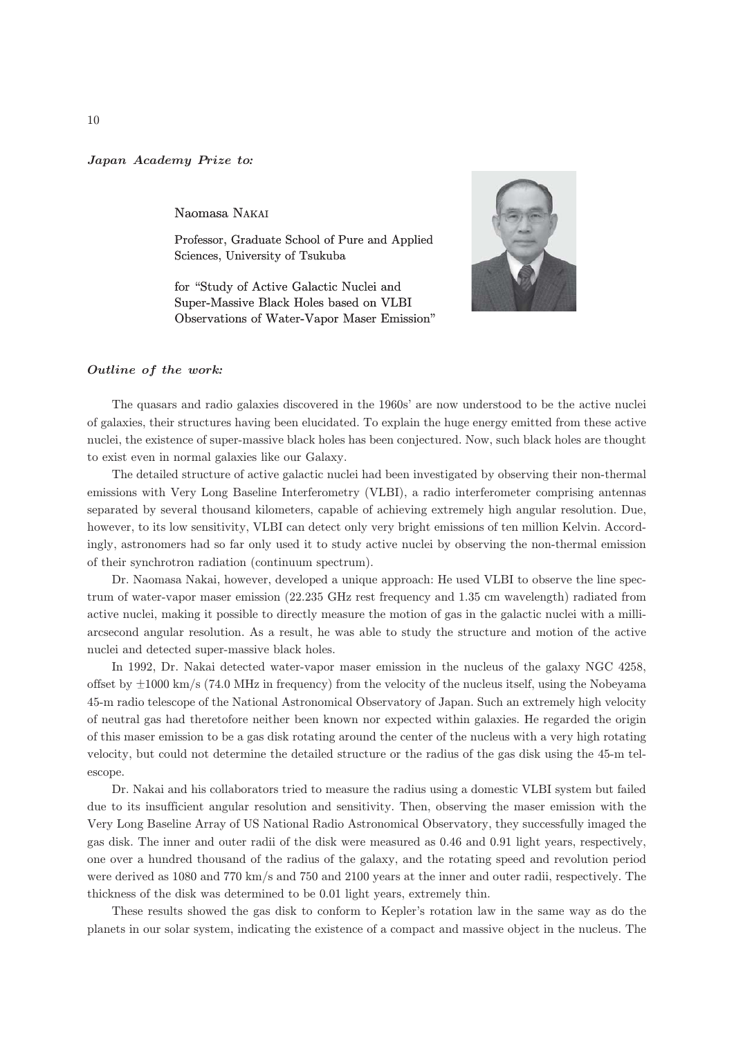## Japan Academy Prize to*:*

Naomasa NAKAI

Professor, Graduate School of Pure and Applied Sciences, University of Tsukuba

for "Study of Active Galactic Nuclei and Super-Massive Black Holes based on VLBI Observations of Water-Vapor Maser Emission"



## Outline of the work*:*

The quasars and radio galaxies discovered in the 1960s' are now understood to be the active nuclei of galaxies, their structures having been elucidated. To explain the huge energy emitted from these active nuclei, the existence of super-massive black holes has been conjectured. Now, such black holes are thought to exist even in normal galaxies like our Galaxy.

The detailed structure of active galactic nuclei had been investigated by observing their non-thermal emissions with Very Long Baseline Interferometry (VLBI), a radio interferometer comprising antennas separated by several thousand kilometers, capable of achieving extremely high angular resolution. Due, however, to its low sensitivity, VLBI can detect only very bright emissions of ten million Kelvin. Accordingly, astronomers had so far only used it to study active nuclei by observing the non-thermal emission of their synchrotron radiation (continuum spectrum).

Dr. Naomasa Nakai, however, developed a unique approach: He used VLBI to observe the line spectrum of water-vapor maser emission (22.235 GHz rest frequency and 1.35 cm wavelength) radiated from active nuclei, making it possible to directly measure the motion of gas in the galactic nuclei with a milliarcsecond angular resolution. As a result, he was able to study the structure and motion of the active nuclei and detected super-massive black holes.

In 1992, Dr. Nakai detected water-vapor maser emission in the nucleus of the galaxy NGC 4258, offset by  $\pm 1000 \text{ km/s}$  (74.0 MHz in frequency) from the velocity of the nucleus itself, using the Nobeyama 45-m radio telescope of the National Astronomical Observatory of Japan. Such an extremely high velocity of neutral gas had theretofore neither been known nor expected within galaxies. He regarded the origin of this maser emission to be a gas disk rotating around the center of the nucleus with a very high rotating velocity, but could not determine the detailed structure or the radius of the gas disk using the 45-m telescope.

Dr. Nakai and his collaborators tried to measure the radius using a domestic VLBI system but failed due to its insufficient angular resolution and sensitivity. Then, observing the maser emission with the Very Long Baseline Array of US National Radio Astronomical Observatory, they successfully imaged the gas disk. The inner and outer radii of the disk were measured as 0.46 and 0.91 light years, respectively, one over a hundred thousand of the radius of the galaxy, and the rotating speed and revolution period were derived as 1080 and 770 km/s and 750 and 2100 years at the inner and outer radii, respectively. The thickness of the disk was determined to be 0.01 light years, extremely thin.

These results showed the gas disk to conform to Kepler's rotation law in the same way as do the planets in our solar system, indicating the existence of a compact and massive object in the nucleus. The